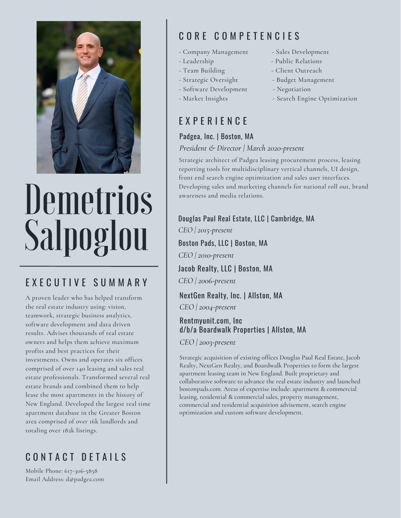

# Demetrios Salpoglou

## E X E C U T I V E S U M M A R Y

A proven leader who has helped transform the real estate industry using: vision, teamwork, strategic business analytics, software development and data driven results. Advises thousands of real estate owners and helps them achieve maximum profits and best practices for their investments. Owns and operates six offices comprised of over 140 leasing and sales real estate professionals. Transformed several real estate brands and combined them to help lease the most apartments in the history of New England. Developed the largest real time apartment database in the Greater Boston area comprised of over 16k landlords and totaling over 182k listings.

# CONTACT DETAILS

Mobile Phone: 617-306-5858 Email Address: d@padgea.com

# C O R E C O M P E T E N C I E S

- Company Management Sales Development
- Leadership Public Relations
- Team Building Client Outreach
- Strategic Oversight Budget Management
- Software Development Negotiation
- 

# E X P E R I E N C E

## Padgea, Inc. | Boston, MA

#### *President & Director | March 2020-present*

Strategic architect of Padgea leasing procurement process, leasing reporting tools for multidisciplinary vertical channels, UI design, front end search engine optimization and sales user interfaces. Developing sales and marketing channels for national roll out, brand awareness and media relations.

Douglas Paul Real Estate, LLC | Cambridge, MA *CEO | 2015-present* Boston Pads, LLC | Boston, MA *CEO | 2010-present* Jacob Realty, LLC | Boston, MA *CEO | 2006-present*

## NextGen Realty, Inc. | Allston, MA

*CEO | 2004-present*

### Rentmyunit.com, Inc d/b/a Boardwalk Properties | Allston, MA

*CEO | 2003-present*

Strategic acquisition of existing offices Douglas Paul Real Estate, Jacob Realty, NextGen Realty, and Boardwalk Properties to form the largest apartment leasing team in New England. Built proprietary and collaborative software to advance the real estate industry and launched bostonpads.com. Areas of expertise include: apartment & commercial leasing, residential & commercial sales, property management, commercial and residential acquisition advisement, search engine optimization and custom software development.

- 
- 
- 
- Market Insights Search Engine Optimization